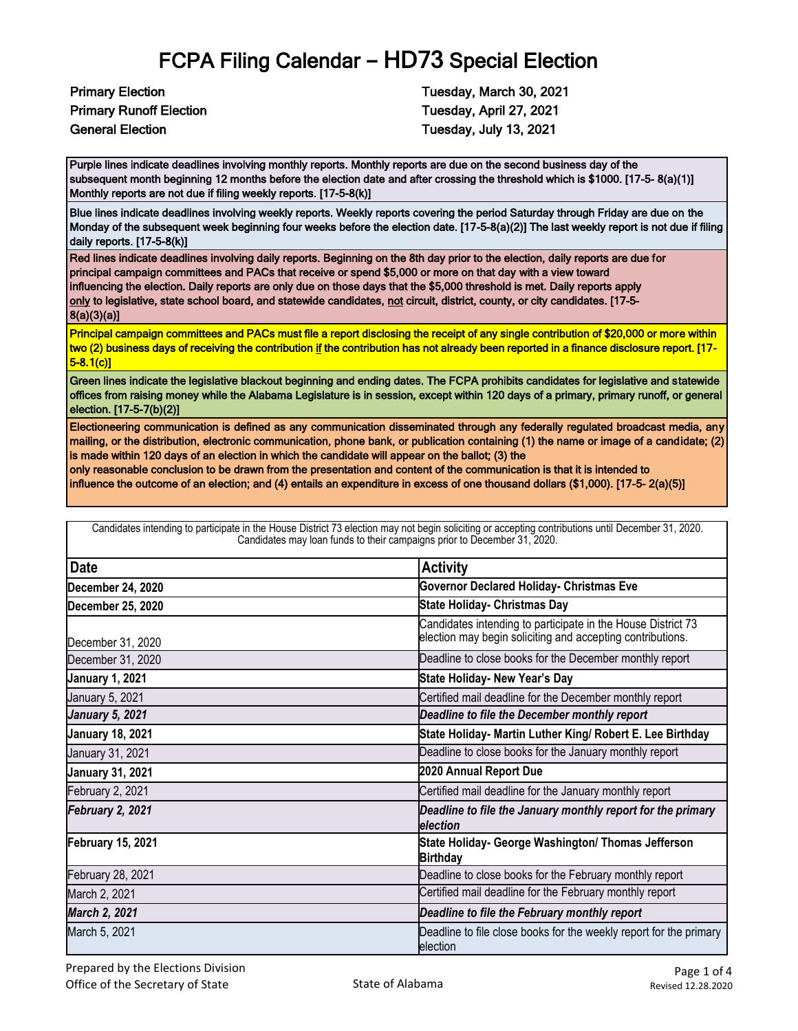Primary Runoff Election Tuesday, April 27, 2021 General Election **Tuesday, July 13, 2021** 

Primary Election **Tuesday, March 30, 2021** 

Purple lines indicate deadlines involving monthly reports. Monthly reports are due on the second business day of the subsequent month beginning 12 months before the election date and after crossing the threshold which is \$1000. [17-5- 8(a)(1)] Monthly reports are not due if filing weekly reports. [17-5-8(k)]

Blue lines indicate deadlines involving weekly reports. Weekly reports covering the period Saturday through Friday are due on the Monday of the subsequent week beginning four weeks before the election date. [17-5-8(a)(2)] The last weekly report is not due if filing daily reports. [17-5-8(k)]

Red lines indicate deadlines involving daily reports. Beginning on the 8th day prior to the election, daily reports are due for principal campaign committees and PACs that receive or spend \$5,000 or more on that day with a view toward influencing the election. Daily reports are only due on those days that the \$5,000 threshold is met. Daily reports apply only to legislative, state school board, and statewide candidates, not circuit, district, county, or city candidates. [17-5-8(a)(3)(a)]

Principal campaign committees and PACs must file a report disclosing the receipt of any single contribution of \$20,000 or more within two (2) business days of receiving the contribution if the contribution has not already been reported in a finance disclosure report. [17- 5-8.1(c)]

Green lines indicate the legislative blackout beginning and ending dates. The FCPA prohibits candidates for legislative and statewide offices from raising money while the Alabama Legislature is in session, except within 120 days of a primary, primary runoff, or general election. [17-5-7(b)(2)]

Electioneering communication is defined as any communication disseminated through any federally regulated broadcast media, any mailing, or the distribution, electronic communication, phone bank, or publication containing (1) the name or image of a candidate; (2) is made within 120 days of an election in which the candidate will appear on the ballot; (3) the

only reasonable conclusion to be drawn from the presentation and content of the communication is that it is intended to

influence the outcome of an election; and (4) entails an expenditure in excess of one thousand dollars (\$1,000). [17-5- 2(a)(5)]

| Candidates intending to participate in the House District 73 election may not begin soliciting or accepting contributions until December 31, 2020.<br>Candidates may loan funds to their campaigns prior to December 31, 2020. |                                                                                                                            |  |
|--------------------------------------------------------------------------------------------------------------------------------------------------------------------------------------------------------------------------------|----------------------------------------------------------------------------------------------------------------------------|--|
| <b>Date</b>                                                                                                                                                                                                                    | <b>Activity</b>                                                                                                            |  |
| December 24, 2020                                                                                                                                                                                                              | <b>Governor Declared Holiday- Christmas Eve</b>                                                                            |  |
| December 25, 2020                                                                                                                                                                                                              | <b>State Holiday- Christmas Day</b>                                                                                        |  |
| December 31, 2020                                                                                                                                                                                                              | Candidates intending to participate in the House District 73<br>election may begin soliciting and accepting contributions. |  |
| December 31, 2020                                                                                                                                                                                                              | Deadline to close books for the December monthly report                                                                    |  |
| <b>January 1, 2021</b>                                                                                                                                                                                                         | State Holiday- New Year's Day                                                                                              |  |
| January 5, 2021                                                                                                                                                                                                                | Certified mail deadline for the December monthly report                                                                    |  |
| <b>January 5, 2021</b>                                                                                                                                                                                                         | Deadline to file the December monthly report                                                                               |  |
| <b>January 18, 2021</b>                                                                                                                                                                                                        | State Holiday- Martin Luther King/ Robert E. Lee Birthday                                                                  |  |
| January 31, 2021                                                                                                                                                                                                               | Deadline to close books for the January monthly report                                                                     |  |
| <b>January 31, 2021</b>                                                                                                                                                                                                        | 2020 Annual Report Due                                                                                                     |  |
| February 2, 2021                                                                                                                                                                                                               | Certified mail deadline for the January monthly report                                                                     |  |
| February 2, 2021                                                                                                                                                                                                               | Deadline to file the January monthly report for the primary<br>election                                                    |  |
| <b>February 15, 2021</b>                                                                                                                                                                                                       | State Holiday- George Washington/ Thomas Jefferson<br><b>Birthday</b>                                                      |  |
| February 28, 2021                                                                                                                                                                                                              | Deadline to close books for the February monthly report                                                                    |  |
| March 2, 2021                                                                                                                                                                                                                  | Certified mail deadline for the February monthly report                                                                    |  |
| March 2, 2021                                                                                                                                                                                                                  | Deadline to file the February monthly report                                                                               |  |
| March 5, 2021                                                                                                                                                                                                                  | Deadline to file close books for the weekly report for the primary<br>election                                             |  |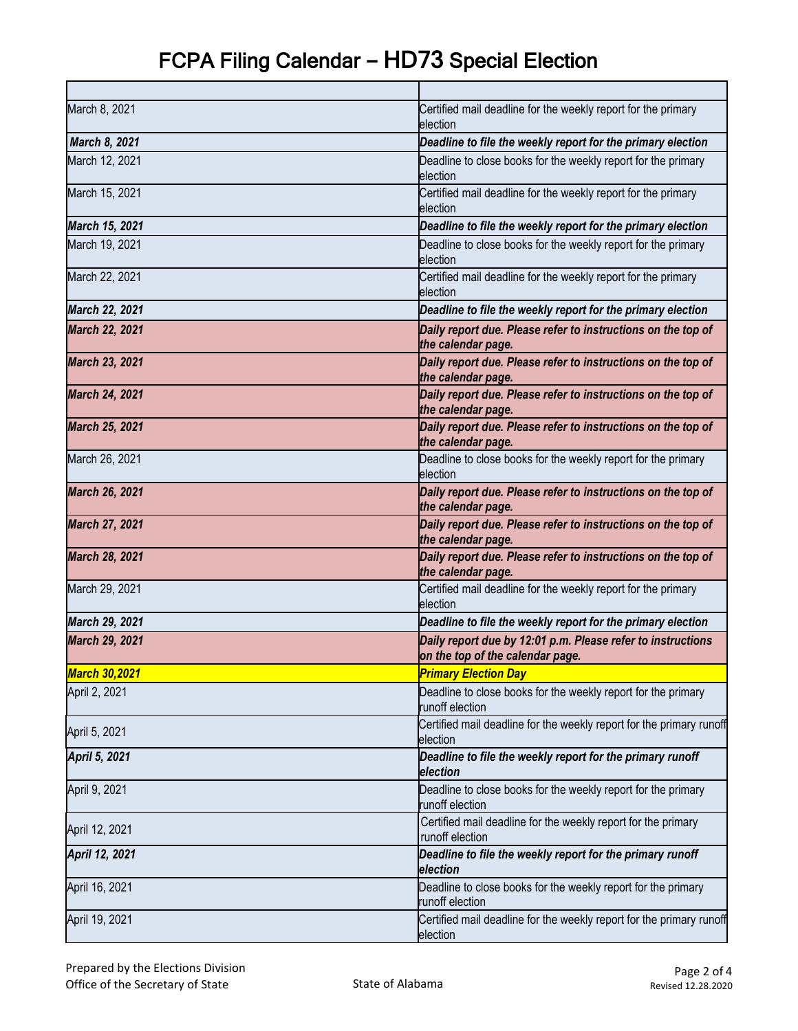| March 8, 2021         | Certified mail deadline for the weekly report for the primary<br>election                       |
|-----------------------|-------------------------------------------------------------------------------------------------|
| March 8, 2021         | Deadline to file the weekly report for the primary election                                     |
| March 12, 2021        | Deadline to close books for the weekly report for the primary<br>election                       |
| March 15, 2021        | Certified mail deadline for the weekly report for the primary<br>election                       |
| March 15, 2021        | Deadline to file the weekly report for the primary election                                     |
| March 19, 2021        | Deadline to close books for the weekly report for the primary<br>election                       |
| March 22, 2021        | Certified mail deadline for the weekly report for the primary<br>election                       |
| March 22, 2021        | Deadline to file the weekly report for the primary election                                     |
| <b>March 22, 2021</b> | Daily report due. Please refer to instructions on the top of<br>the calendar page.              |
| <b>March 23, 2021</b> | Daily report due. Please refer to instructions on the top of<br>the calendar page.              |
| <b>March 24, 2021</b> | Daily report due. Please refer to instructions on the top of<br>the calendar page.              |
| <b>March 25, 2021</b> | Daily report due. Please refer to instructions on the top of<br>the calendar page.              |
| March 26, 2021        | Deadline to close books for the weekly report for the primary<br>election                       |
| <b>March 26, 2021</b> | Daily report due. Please refer to instructions on the top of<br>the calendar page.              |
| <b>March 27, 2021</b> | Daily report due. Please refer to instructions on the top of<br>the calendar page.              |
| <b>March 28, 2021</b> | Daily report due. Please refer to instructions on the top of<br>the calendar page.              |
| March 29, 2021        | Certified mail deadline for the weekly report for the primary<br>election                       |
| March 29, 2021        | Deadline to file the weekly report for the primary election                                     |
| <b>March 29, 2021</b> | Daily report due by 12:01 p.m. Please refer to instructions<br>on the top of the calendar page. |
| <u> March 30,2021</u> | <b>Primary Election Day</b>                                                                     |
| April 2, 2021         | Deadline to close books for the weekly report for the primary<br>runoff election                |
| April 5, 2021         | Certified mail deadline for the weekly report for the primary runoff<br>election                |
| April 5, 2021         | Deadline to file the weekly report for the primary runoff<br>election                           |
| April 9, 2021         | Deadline to close books for the weekly report for the primary<br>runoff election                |
| April 12, 2021        | Certified mail deadline for the weekly report for the primary<br>runoff election                |
| April 12, 2021        | Deadline to file the weekly report for the primary runoff<br>election                           |
| April 16, 2021        | Deadline to close books for the weekly report for the primary<br>runoff election                |
| April 19, 2021        | Certified mail deadline for the weekly report for the primary runoff<br>election                |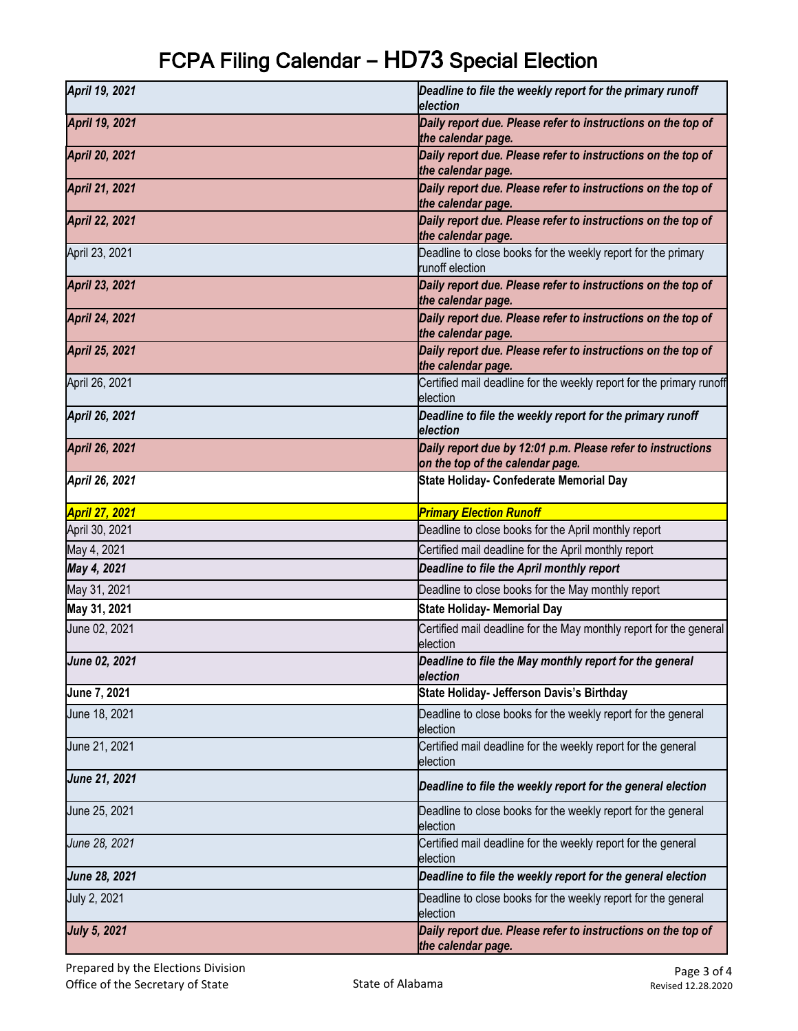| April 19, 2021        | Deadline to file the weekly report for the primary runoff<br>election                           |
|-----------------------|-------------------------------------------------------------------------------------------------|
| April 19, 2021        | Daily report due. Please refer to instructions on the top of<br>the calendar page.              |
| <b>April 20, 2021</b> | Daily report due. Please refer to instructions on the top of<br>the calendar page.              |
| <b>April 21, 2021</b> | Daily report due. Please refer to instructions on the top of<br>the calendar page.              |
| <b>April 22, 2021</b> | Daily report due. Please refer to instructions on the top of<br>the calendar page.              |
| April 23, 2021        | Deadline to close books for the weekly report for the primary<br>runoff election                |
| <b>April 23, 2021</b> | Daily report due. Please refer to instructions on the top of<br>the calendar page.              |
| <b>April 24, 2021</b> | Daily report due. Please refer to instructions on the top of<br>the calendar page.              |
| April 25, 2021        | Daily report due. Please refer to instructions on the top of<br>the calendar page.              |
| April 26, 2021        | Certified mail deadline for the weekly report for the primary runoff<br>election                |
| April 26, 2021        | Deadline to file the weekly report for the primary runoff<br>election                           |
| April 26, 2021        | Daily report due by 12:01 p.m. Please refer to instructions<br>on the top of the calendar page. |
| April 26, 2021        | State Holiday- Confederate Memorial Day                                                         |
| <b>April 27, 2021</b> | <b>Primary Election Runoff</b>                                                                  |
| April 30, 2021        | Deadline to close books for the April monthly report                                            |
| May 4, 2021           | Certified mail deadline for the April monthly report                                            |
| May 4, 2021           | Deadline to file the April monthly report                                                       |
| May 31, 2021          | Deadline to close books for the May monthly report                                              |
| May 31, 2021          | <b>State Holiday- Memorial Day</b>                                                              |
| June 02, 2021         | Certified mail deadline for the May monthly report for the general<br>election                  |
| June 02, 2021         | Deadline to file the May monthly report for the general<br>election                             |
| June 7, 2021          | State Holiday- Jefferson Davis's Birthday                                                       |
| June 18, 2021         | Deadline to close books for the weekly report for the general<br>election                       |
| June 21, 2021         | Certified mail deadline for the weekly report for the general<br>election                       |
| June 21, 2021         | Deadline to file the weekly report for the general election                                     |
| June 25, 2021         | Deadline to close books for the weekly report for the general<br>election                       |
| June 28, 2021         | Certified mail deadline for the weekly report for the general<br>election                       |
| June 28, 2021         | Deadline to file the weekly report for the general election                                     |
| July 2, 2021          | Deadline to close books for the weekly report for the general<br>election                       |
| <b>July 5, 2021</b>   | Daily report due. Please refer to instructions on the top of<br>the calendar page.              |